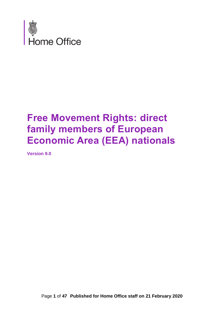

# **Free Movement Rights: direct family members of European Economic Area (EEA) nationals**

<span id="page-0-0"></span>**Version 9.0**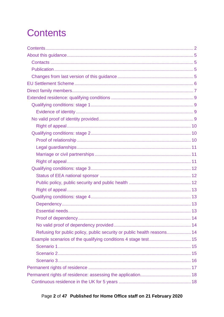# <span id="page-1-0"></span>**Contents**

| Refusing for public policy, public security or public health reasons 14 |
|-------------------------------------------------------------------------|
|                                                                         |
|                                                                         |
|                                                                         |
|                                                                         |
|                                                                         |
|                                                                         |
|                                                                         |

## Page 2 of 47 Published for Home Office staff on 21 February 2020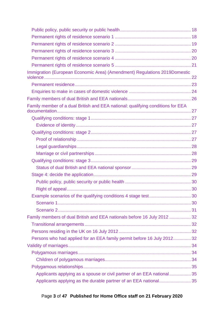| Immigration (European Economic Area) (Amendment) Regulations 2019Domestic       |  |
|---------------------------------------------------------------------------------|--|
|                                                                                 |  |
|                                                                                 |  |
|                                                                                 |  |
| Family member of a dual British and EEA national: qualifying conditions for EEA |  |
|                                                                                 |  |
|                                                                                 |  |
|                                                                                 |  |
|                                                                                 |  |
|                                                                                 |  |
|                                                                                 |  |
|                                                                                 |  |
|                                                                                 |  |
|                                                                                 |  |
|                                                                                 |  |
|                                                                                 |  |
|                                                                                 |  |
|                                                                                 |  |
|                                                                                 |  |
| Family members of dual British and EEA nationals before 16 July 2012  32        |  |
|                                                                                 |  |
|                                                                                 |  |
| Persons who had applied for an EEA family permit before 16 July 2012 32         |  |
|                                                                                 |  |
|                                                                                 |  |
|                                                                                 |  |
|                                                                                 |  |
| Applicants applying as a spouse or civil partner of an EEA national 35          |  |
| Applicants applying as the durable partner of an EEA national 35                |  |

## Page **3** of **47 Published for Home Office staff on 21 February 2020**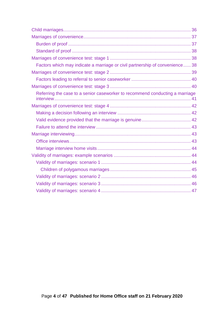| Factors which may indicate a marriage or civil partnership of convenience 38 |  |
|------------------------------------------------------------------------------|--|
|                                                                              |  |
|                                                                              |  |
|                                                                              |  |
| Referring the case to a senior caseworker to recommend conducting a marriage |  |
|                                                                              |  |
|                                                                              |  |
|                                                                              |  |
|                                                                              |  |
|                                                                              |  |
|                                                                              |  |
|                                                                              |  |
|                                                                              |  |
|                                                                              |  |
|                                                                              |  |
|                                                                              |  |
|                                                                              |  |
|                                                                              |  |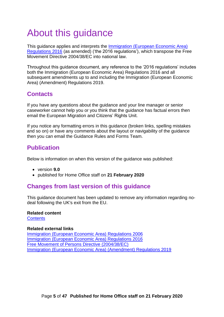# <span id="page-4-0"></span>About this guidance

This guidance applies and interprets the [Immigration \(European Economic Area\)](http://www.legislation.gov.uk/uksi/2016/1052/contents/made)  [Regulations 2016](http://www.legislation.gov.uk/uksi/2016/1052/contents/made) (as amended) ('the 2016 regulations'), which transpose the Free Movement Directive 2004/38/EC into national law.

Throughout this guidance document, any reference to the '2016 regulations' includes both the Immigration (European Economic Area) Regulations 2016 and all subsequent amendments up to and including the Immigration (European Economic Area) (Amendment) Regulations 2019.

## <span id="page-4-1"></span>**Contacts**

If you have any questions about the guidance and your line manager or senior caseworker cannot help you or you think that the guidance has factual errors then email the European Migration and Citizens' Rights Unit.

If you notice any formatting errors in this guidance (broken links, spelling mistakes and so on) or have any comments about the layout or navigability of the guidance then you can email the Guidance Rules and Forms Team.

## <span id="page-4-2"></span>**Publication**

Below is information on when this version of the guidance was published:

- version **9.0**
- published for Home Office staff on **21 February 2020**

### <span id="page-4-3"></span>**Changes from last version of this guidance**

This guidance document has been updated to remove any information regarding nodeal following the UK's exit from the EU.

#### **Related content**

**[Contents](#page-0-0)** 

#### **Related external links**

[Immigration \(European Economic Area\)](http://www.legislation.gov.uk/uksi/2006/1003) Regulations 2006 [Immigration \(European Economic Area\) Regulations 2016](http://www.legislation.gov.uk/uksi/2016/1052/contents/made) [Free Movement of Persons Directive \(2004/38/EC\)](http://eur-lex.europa.eu/LexUriServ/LexUriServ.do?uri=OJ:L:2004:158:0077:0123:EN:PDF) [Immigration \(European Economic Area\) \(Amendment\) Regulations 2019](http://www.legislation.gov.uk/uksi/2019/1155/contents/made)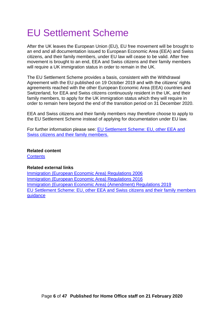# <span id="page-5-0"></span>EU Settlement Scheme

After the UK leaves the European Union (EU), EU free movement will be brought to an end and all documentation issued to European Economic Area (EEA) and Swiss citizens, and their family members, under EU law will cease to be valid. After free movement is brought to an end, EEA and Swiss citizens and their family members will require a UK immigration status in order to remain in the UK.

The EU Settlement Scheme provides a basis, consistent with the Withdrawal Agreement with the EU published on 19 October 2019 and with the citizens' rights agreements reached with the other European Economic Area (EEA) countries and Switzerland, for EEA and Swiss citizens continuously resident in the UK, and their family members, to apply for the UK immigration status which they will require in order to remain here beyond the end of the transition period on 31 December 2020.

EEA and Swiss citizens and their family members may therefore choose to apply to the EU Settlement Scheme instead of applying for documentation under EU law.

For further information please see: [EU Settlement Scheme: EU, other EEA and](https://www.gov.uk/government/publications/eu-settlement-scheme-caseworker-guidance)  [Swiss citizens and their family members.](https://www.gov.uk/government/publications/eu-settlement-scheme-caseworker-guidance)

#### **Related content**

**[Contents](#page-0-0)** 

#### **Related external links**

[Immigration \(European Economic Area\) Regulations 2006](http://www.legislation.gov.uk/uksi/2006/1003) [Immigration \(European Economic Area\) Regulations 2016](http://www.legislation.gov.uk/uksi/2016/1052/contents/made) [Immigration \(European Economic Area\) \(Amendment\) Regulations 2019](http://www.legislation.gov.uk/uksi/2019/1155/contents/made) [EU Settlement Scheme: EU, other EEA and Swiss citizens and their family members](https://www.gov.uk/government/publications/eu-settlement-scheme-caseworker-guidance)  [guidance](https://www.gov.uk/government/publications/eu-settlement-scheme-caseworker-guidance)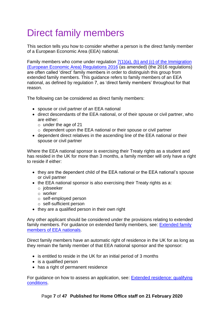# <span id="page-6-0"></span>Direct family members

This section tells you how to consider whether a person is the direct family member of a European Economic Area (EEA) national.

Family members who come under regulation  $7(1)(a)$ , (b) and (c) of the Immigration [\(European Economic Area\)](http://www.legislation.gov.uk/uksi/2016/1052/regulation/7/made) Regulations 2016 (as amended) (the 2016 regulations) are often called 'direct' family members in order to distinguish this group from extended family members. This guidance refers to family members of an EEA national, as defined by regulation 7, as 'direct family members' throughout for that reason.

The following can be considered as direct family members:

- spouse or civil partner of an EEA national
- direct descendants of the EEA national, or of their spouse or civil partner, who are either:
	- o under the age of 21
	- o dependent upon the EEA national or their spouse or civil partner
- dependent direct relatives in the ascending line of the EEA national or their spouse or civil partner

Where the EEA national sponsor is exercising their Treaty rights as a student and has resided in the UK for more than 3 months, a family member will only have a right to reside if either:

- they are the dependent child of the EEA national or the EEA national's spouse or civil partner
- the EEA national sponsor is also exercising their Treaty rights as a:
	- o jobseeker
	- o worker
	- o self-employed person
	- o self-sufficient person
- they are a qualified person in their own right

Any other applicant should be considered under the provisions relating to extended family members. For guidance on extended family members, see: [Extended family](https://assets.publishing.service.gov.uk/government/uploads/system/uploads/attachment_data/file/636193/Extended-family-members-V5_0.pdf)  [members of EEA nationals.](https://assets.publishing.service.gov.uk/government/uploads/system/uploads/attachment_data/file/636193/Extended-family-members-V5_0.pdf)

Direct family members have an automatic right of residence in the UK for as long as they remain the family member of that EEA national sponsor and the sponsor:

- is entitled to reside in the UK for an initial period of 3 months
- is a qualified person
- has a right of permanent residence

For guidance on how to assess an application, see: [Extended residence: qualifying](#page-8-0)  [conditions.](#page-8-0)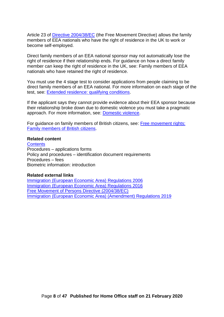Article 23 of *Directive 2004/38/EC* (the Free Movement Directive) allows the family members of EEA nationals who have the right of residence in the UK to work or become self-employed.

Direct family members of an EEA national sponsor may not automatically lose the right of residence if their relationship ends. For guidance on how a direct family member can keep the right of residence in the UK, see: Family members of EEA nationals who have retained the right of residence.

You must use the 4 stage test to consider applications from people claiming to be direct family members of an EEA national. For more information on each stage of the test, see: [Extended residence: qualifying conditions.](#page-8-0)

If the applicant says they cannot provide evidence about their EEA sponsor because their relationship broke down due to domestic violence you must take a pragmatic approach. For more information, see: [Domestic violence.](#page-22-1)

For guidance on family members of British citizens, see: [Free movement rights:](https://www.gov.uk/government/publications/free-movement-rights-family-members-of-british-citizens)  [Family members of British](https://www.gov.uk/government/publications/free-movement-rights-family-members-of-british-citizens) citizens.

#### **Related content**

**[Contents](#page-0-0)** Procedures – applications forms Policy and procedures – identification document requirements Procedures – fees Biometric information: introduction

#### **Related external links**

<span id="page-7-0"></span>[Immigration \(European Economic Area\)](http://www.legislation.gov.uk/uksi/2006/1003) Regulations 2006 [Immigration \(European Economic Area\) Regulations 2016](http://www.legislation.gov.uk/uksi/2016/1052/contents/made) [Free Movement of Persons Directive \(2004/38/EC\)](http://eur-lex.europa.eu/LexUriServ/LexUriServ.do?uri=OJ:L:2004:158:0077:0123:EN:PDF) [Immigration \(European Economic Area\) \(Amendment\) Regulations 2019](http://www.legislation.gov.uk/uksi/2019/1155/contents/made)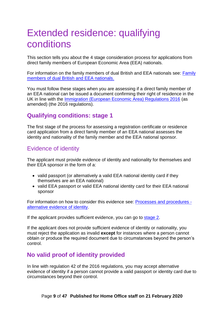# <span id="page-8-0"></span>Extended residence: qualifying conditions

This section tells you about the 4 stage consideration process for applications from direct family members of European Economic Area (EEA) nationals.

For information on the family members of dual British and EEA nationals see: [Family](#page-24-0)  [members of dual British and EEA nationals.](#page-24-0)

You must follow these stages when you are assessing if a direct family member of an EEA national can be issued a document confirming their right of residence in the UK in line with the [Immigration \(European Economic Area\) Regulations 2016](http://www.legislation.gov.uk/uksi/2016/1052/contents/made) (as amended) (the 2016 regulations).

## <span id="page-8-1"></span>**Qualifying conditions: stage 1**

The first stage of the process for assessing a registration certificate or residence card application from a direct family member of an EEA national assesses the identity and nationality of the family member and the EEA national sponsor.

## <span id="page-8-2"></span>Evidence of identity

The applicant must provide evidence of identity and nationality for themselves and their EEA sponsor in the form of a:

- valid passport (or alternatively a valid EEA national identity card if they themselves are an EEA national)
- valid EEA passport or valid EEA national identity card for their EEA national sponsor

For information on how to consider this evidence see: [Processes and procedures](https://www.gov.uk/government/publications/processes-and-procedures-for-eea-documentation-applications)  [alternative evidence of identity.](https://www.gov.uk/government/publications/processes-and-procedures-for-eea-documentation-applications)

If the applicant provides sufficient evidence, you can go to [stage 2.](#page-9-3)

If the applicant does not provide sufficient evidence of identity or nationality, you must reject the application as invalid **except** for instances where a person cannot obtain or produce the required document due to circumstances beyond the person's control.

## <span id="page-8-3"></span>**No valid proof of identity provided**

In line with regulation 42 of the 2016 regulations, you may accept alternative evidence of identity if a person cannot provide a valid passport or identity card due to circumstances beyond their control.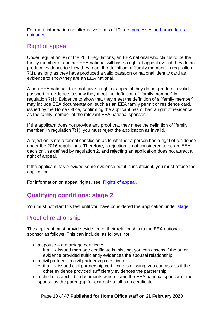For more information on alternative forms of ID see: [processes and procedures](https://www.gov.uk/government/publications/processes-and-procedures-for-eea-documentation-applications)  [guidance\]](https://www.gov.uk/government/publications/processes-and-procedures-for-eea-documentation-applications).

## <span id="page-9-0"></span>Right of appeal

Under regulation 36 of the 2016 regulations, an EEA national who claims to be the family member of another EEA national will have a right of appeal even if they do not produce evidence to show they meet the definition of "family member" in regulation 7(1), as long as they have produced a valid passport or national identity card as evidence to show they are an EEA national.

A non-EEA national does not have a right of appeal if they do not produce a valid passport or evidence to show they meet the definition of "family member" in regulation 7(1). Evidence to show that they meet the definition of a "family member"' may include EEA documentation, such as an EEA family permit or residence card, issued by the Home Office, confirming the applicant has or had a right of residence as the family member of the relevant EEA national sponsor.

If the applicant does not provide any proof that they meet the definition of "family member" in regulation 7(1), you must reject the application as invalid.

A rejection is not a formal conclusion as to whether a person has a right of residence under the 2016 regulations. Therefore, a rejection is not considered to be an 'EEA decision', as defined by regulation 2, and rejecting an application does not attract a right of appeal.

If the applicant has provided some evidence but it is insufficient, you must refuse the application.

<span id="page-9-3"></span>For information on appeal rights, see: [Rights of appeal.](https://assets.publishing.service.gov.uk/government/uploads/system/uploads/attachment_data/file/730527/right-of-appeal-v7.0.pdf)

## <span id="page-9-1"></span>**Qualifying conditions: stage 2**

You must not start this test until you have considered the application under [stage 1.](#page-8-1)

### <span id="page-9-2"></span>Proof of relationship

The applicant must provide evidence of their relationship to the EEA national sponsor as follows. This can include, as follows, for:

- a spouse a marriage certificate:
	- $\circ$  if a UK issued marriage certificate is missing, you can assess if the other evidence provided sufficiently evidences the spousal relationship
- a civil partner a civil partnership certificate:
	- $\circ$  if a UK issued civil partnership certificate is missing, you can assess if the other evidence provided sufficiently evidences the partnership
- a child or stepchild documents which name the EEA national sponsor or their spouse as the parent(s), for example a full birth certificate: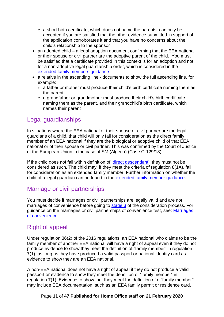- $\circ$  a short birth certificate, which does not name the parents, can only be accepted if you are satisfied that the other evidence submitted in support of the application corroborates it and that you have no concerns about the child's relationship to the sponsor
- an adopted child a legal adoption document confirming that the EEA national or their spouse or civil partner are the adoptive parent of the child. You must be satisfied that a certificate provided in this context is for an adoption and not for a non-adoptive legal guardianship order, which is considered in the [extended family members guidance](https://www.gov.uk/government/publications/extended-family-members-of-eea-nationals)
- a relative in the ascending line documents to show the full ascending line, for example:
	- $\circ$  a father or mother must produce their child's birth certificate naming them as the parent
	- $\circ$  a grandfather or grandmother must produce their child's birth certificate naming them as the parent, and their grandchild's birth certificate, which names their parent

## <span id="page-10-0"></span>Legal guardianships

In situations where the EEA national or their spouse or civil partner are the legal guardians of a child, that child will only fall for consideration as the direct family member of an EEA national if they are the biological or adoptive child of that EEA national or of their spouse or civil partner. This was confirmed by the Court of Justice of the European Union in the case of SM (Algeria) (Case C-129/18).

If the child does not fall within definition of ['direct descendant',](#page-6-0) they must not be considered as such. The child may, if they meet the criteria of regulation 8(1A), fall for consideration as an extended family member. Further information on whether the child of a legal guardian can be found in the [extended family member guidance.](https://www.gov.uk/government/publications/extended-family-members-of-eea-nationals)

## <span id="page-10-1"></span>Marriage or civil partnerships

You must decide if marriages or civil partnerships are legally valid and are not marriages of convenience before going to [stage 3](#page-11-0) of the consideration process. For guidance on the marriages or civil partnerships of convenience test, see: [Marriages](#page-36-0)  [of convenience.](#page-36-0)

## <span id="page-10-2"></span>Right of appeal

Under regulation 36(2) of the 2016 regulations, an EEA national who claims to be the family member of another EEA national will have a right of appeal even if they do not produce evidence to show they meet the definition of "family member" in regulation 7(1), as long as they have produced a valid passport or national identity card as evidence to show they are an EEA national.

A non-EEA national does not have a right of appeal if they do not produce a valid passport or evidence to show they meet the definition of "family member" in regulation 7(1). Evidence to show that they meet the definition of a "family member"' may include EEA documentation, such as an EEA family permit or residence card,

#### Page **11** of **47 Published for Home Office staff on 21 February 2020**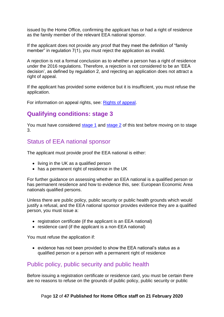issued by the Home Office, confirming the applicant has or had a right of residence as the family member of the relevant EEA national sponsor.

If the applicant does not provide any proof that they meet the definition of "family member" in regulation 7(1), you must reject the application as invalid.

A rejection is not a formal conclusion as to whether a person has a right of residence under the 2016 regulations. Therefore, a rejection is not considered to be an 'EEA decision', as defined by regulation 2, and rejecting an application does not attract a right of appeal.

If the applicant has provided some evidence but it is insufficient, you must refuse the application.

For information on appeal rights, see: [Rights of appeal.](https://assets.publishing.service.gov.uk/government/uploads/system/uploads/attachment_data/file/730527/right-of-appeal-v7.0.pdf)

## <span id="page-11-0"></span>**Qualifying conditions: stage 3**

You must have considered [stage 1](#page-8-1) and [stage 2](#page-9-3) of this test before moving on to stage 3.

#### <span id="page-11-1"></span>Status of EEA national sponsor

The applicant must provide proof the EEA national is either:

- living in the UK as a qualified person
- has a permanent right of residence in the UK

For further guidance on assessing whether an EEA national is a qualified person or has permanent residence and how to evidence this, see: European Economic Area nationals qualified persons.

Unless there are public policy, public security or public health grounds which would justify a refusal, and the EEA national sponsor provides evidence they are a qualified person, you must issue a:

- registration certificate (if the applicant is an EEA national)
- residence card (if the applicant is a non-EEA national)

You must refuse the application if:

• evidence has not been provided to show the EEA national's status as a qualified person or a person with a permanent right of residence

### <span id="page-11-2"></span>Public policy, public security and public health

Before issuing a registration certificate or residence card, you must be certain there are no reasons to refuse on the grounds of public policy, public security or public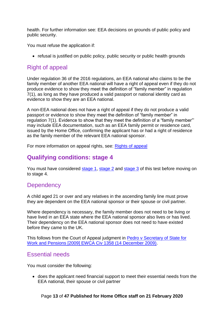health. For further information see: EEA decisions on grounds of public policy and public security.

You must refuse the application if:

• refusal is justified on public policy, public security or public health grounds

## <span id="page-12-0"></span>Right of appeal

Under regulation 36 of the 2016 regulations, an EEA national who claims to be the family member of another EEA national will have a right of appeal even if they do not produce evidence to show they meet the definition of "family member" in regulation 7(1), as long as they have produced a valid passport or national identity card as evidence to show they are an EEA national.

A non-EEA national does not have a right of appeal if they do not produce a valid passport or evidence to show they meet the definition of "family member" in regulation 7(1). Evidence to show that they meet the definition of a "family member"' may include EEA documentation, such as an EEA family permit or residence card, issued by the Home Office, confirming the applicant has or had a right of residence as the family member of the relevant EEA national sponsor.

For more information on appeal rights, see: [Rights of appeal](https://assets.publishing.service.gov.uk/government/uploads/system/uploads/attachment_data/file/730527/right-of-appeal-v7.0.pdf)

## <span id="page-12-1"></span>**Qualifying conditions: stage 4**

You must have considered [stage](#page-9-3) 1, stage 2 and [stage 3](#page-11-0) of this test before moving on to stage 4.

## <span id="page-12-2"></span>**Dependency**

A child aged 21 or over and any relatives in the ascending family line must prove they are dependent on the EEA national sponsor or their spouse or civil partner.

Where dependency is necessary, the family member does not need to be living or have lived in an EEA state where the EEA national sponsor also lives or has lived. Their dependency on the EEA national sponsor does not need to have existed before they came to the UK.

This follows from the Court of Appeal judgment in [Pedro v Secretary of State for](http://www.bailii.org/ew/cases/EWCA/Civ/2009/1358.html)  [Work and Pensions \[2009\] EWCA Civ 1358 \(14 December 2009\).](http://www.bailii.org/ew/cases/EWCA/Civ/2009/1358.html)

## <span id="page-12-3"></span>Essential needs

You must consider the following:

• does the applicant need financial support to meet their essential needs from the EEA national, their spouse or civil partner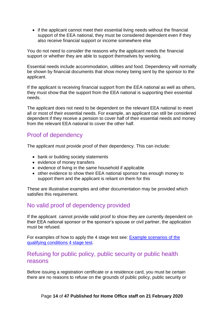• if the applicant cannot meet their essential living needs without the financial support of the EEA national, they must be considered dependent even if they also receive financial support or income somewhere else

You do not need to consider the reasons why the applicant needs the financial support or whether they are able to support themselves by working.

Essential needs include accommodation, utilities and food. Dependency will normally be shown by financial documents that show money being sent by the sponsor to the applicant.

If the applicant is receiving financial support from the EEA national as well as others, they must show that the support from the EEA national is supporting their essential needs.

The applicant does not need to be dependent on the relevant EEA national to meet all or most of their essential needs. For example, an applicant can still be considered dependent if they receive a pension to cover half of their essential needs and money from the relevant EEA national to cover the other half.

## <span id="page-13-0"></span>Proof of dependency

The applicant must provide proof of their dependency. This can include:

- bank or building society statements
- evidence of money transfers
- evidence of living in the same household if applicable
- other evidence to show their EEA national sponsor has enough money to support them and the applicant is reliant on them for this

These are illustrative examples and other documentation may be provided which satisfies this requirement.

### <span id="page-13-1"></span>No valid proof of dependency provided

If the applicant cannot provide valid proof to show they are currently dependent on their EEA national sponsor or the sponsor's spouse or civil partner, the application must be refused.

For examples of how to apply the 4 stage test see: [Example scenarios of](#page-14-0) the [qualifying conditions 4](#page-14-0) stage test.

#### <span id="page-13-2"></span>Refusing for public policy, public security or public health reasons

Before issuing a registration certificate or a residence card, you must be certain there are no reasons to refuse on the grounds of public policy, public security or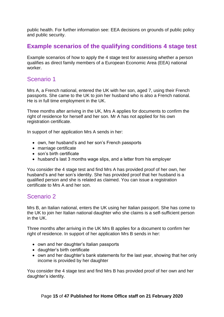public health. For further information see: EEA decisions on grounds of public policy and public security.

## <span id="page-14-0"></span>**Example scenarios of the qualifying conditions 4 stage test**

Example scenarios of how to apply the 4 stage test for assessing whether a person qualifies as direct family members of a European Economic Area (EEA) national worker.

#### <span id="page-14-1"></span>Scenario 1

Mrs A, a French national, entered the UK with her son, aged 7, using their French passports. She came to the UK to join her husband who is also a French national. He is in full time employment in the UK.

Three months after arriving in the UK, Mrs A applies for documents to confirm the right of residence for herself and her son. Mr A has not applied for his own registration certificate.

In support of her application Mrs A sends in her:

- own, her husband's and her son's French passports
- marriage certificate
- son's birth certificate
- husband's last 3 months wage slips, and a letter from his employer

You consider the 4 stage test and find Mrs A has provided proof of her own, her husband's and her son's identity. She has provided proof that her husband is a qualified person and she is related as claimed. You can issue a registration certificate to Mrs A and her son.

### <span id="page-14-2"></span>Scenario 2

Mrs B, an Italian national, enters the UK using her Italian passport. She has come to the UK to join her Italian national daughter who she claims is a self-sufficient person in the UK.

Three months after arriving in the UK Mrs B applies for a document to confirm her right of residence. In support of her application Mrs B sends in her:

- own and her daughter's Italian passports
- daughter's birth certificate
- own and her daughter's bank statements for the last year, showing that her only income is provided by her daughter

You consider the 4 stage test and find Mrs B has provided proof of her own and her daughter's identity.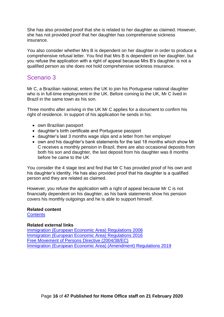She has also provided proof that she is related to her daughter as claimed. However, she has not provided proof that her daughter has comprehensive sickness insurance.

You also consider whether Mrs B is dependent on her daughter in order to produce a comprehensive refusal letter. You find that Mrs B is dependent on her daughter, but you refuse the application with a right of appeal because Mrs B's daughter is not a qualified person as she does not hold comprehensive sickness insurance.

## <span id="page-15-0"></span>Scenario 3

Mr C, a Brazilian national, enters the UK to join his Portuguese national daughter who is in full-time employment in the UK. Before coming to the UK, Mr C lived in Brazil in the same town as his son.

Three months after arriving in the UK Mr C applies for a document to confirm his right of residence. In support of his application he sends in his:

- own Brazilian passport
- daughter's birth certificate and Portuguese passport
- daughter's last 3 months wage slips and a letter from her employer
- own and his daughter's bank statements for the last 18 months which show Mr C receives a monthly pension in Brazil, there are also occasional deposits from both his son and daughter, the last deposit from his daughter was 8 months before he came to the UK

You consider the 4 stage test and find that Mr C has provided proof of his own and his daughter's identity. He has also provided proof that his daughter is a qualified person and they are related as claimed.

However, you refuse the application with a right of appeal because Mr C is not financially dependent on his daughter, as his bank statements show his pension covers his monthly outgoings and he is able to support himself.

#### **Related content**

#### **[Contents](#page-0-0)**

#### **Related external links**

[Immigration \(European Economic Area\)](http://www.legislation.gov.uk/uksi/2006/1003) Regulations 2006 [Immigration \(European Economic Area\) Regulations 2016](http://www.legislation.gov.uk/uksi/2016/1052/contents/made) [Free Movement of Persons Directive \(2004/38/EC\)](http://eur-lex.europa.eu/LexUriServ/LexUriServ.do?uri=OJ:L:2004:158:0077:0123:EN:PDF) [Immigration \(European Economic Area\) \(Amendment\) Regulations 2019](http://www.legislation.gov.uk/uksi/2019/1155/contents/made)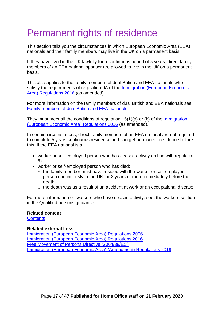# <span id="page-16-0"></span>Permanent rights of residence

This section tells you the circumstances in which European Economic Area (EEA) nationals and their family members may live in the UK on a permanent basis.

If they have lived in the UK lawfully for a continuous period of 5 years, direct family members of an EEA national sponsor are allowed to live in the UK on a permanent basis.

This also applies to the family members of dual British and EEA nationals who satisfy the requirements of regulation 9A of the **Immigration (European Economic** [Area\) Regulations 2016](http://www.legislation.gov.uk/uksi/2016/1052/contents/made) (as amended).

For more information on the family members of dual British and EEA nationals see: [Family members of dual British and EEA nationals.](#page-24-0)

They must meet all the conditions of regulation 15(1)(a) or (b) of the [Immigration](http://www.legislation.gov.uk/uksi/2016/1052/contents/made)  [\(European Economic Area\) Regulations 2016](http://www.legislation.gov.uk/uksi/2016/1052/contents/made) (as amended).

In certain circumstances, direct family members of an EEA national are not required to complete 5 years continuous residence and can get permanent residence before this. If the EEA national is a:

- worker or self-employed person who has ceased activity (in line with regulation 5)
- worker or self-employed person who has died:
	- o the family member must have resided with the worker or self-employed person continuously in the UK for 2 years or more immediately before their death
	- o the death was as a result of an accident at work or an occupational disease

For more information on workers who have ceased activity, see: the workers section in the Qualified persons guidance.

#### **Related content**

**[Contents](#page-0-0)** 

#### **Related external links**

<span id="page-16-1"></span>[Immigration \(European Economic Area\)](http://www.legislation.gov.uk/uksi/2006/1003) Regulations 2006 [Immigration \(European Economic Area\) Regulations 2016](http://www.legislation.gov.uk/uksi/2016/1052/contents/made) [Free Movement of Persons Directive \(2004/38/EC\)](http://eur-lex.europa.eu/LexUriServ/LexUriServ.do?uri=OJ:L:2004:158:0077:0123:EN:PDF) [Immigration \(European Economic Area\) \(Amendment\) Regulations 2019](http://www.legislation.gov.uk/uksi/2019/1155/contents/made)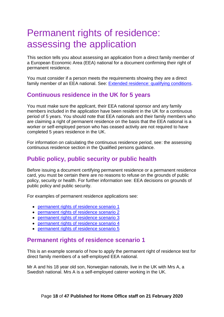# <span id="page-17-0"></span>Permanent rights of residence: assessing the application

This section tells you about assessing an application from a direct family member of a European Economic Area (EEA) national for a document confirming their right of permanent residence.

You must consider if a person meets the requirements showing they are a direct family member of an EEA national. See: [Extended residence: qualifying conditions.](#page-8-0)

## <span id="page-17-1"></span>**Continuous residence in the UK for 5 years**

You must make sure the applicant, their EEA national sponsor and any family members included in the application have been resident in the UK for a continuous period of 5 years. You should note that EEA nationals and their family members who are claiming a right of permanent residence on the basis that the EEA national is a worker or self-employed person who has ceased activity are not required to have completed 5 years residence in the UK.

For information on calculating the continuous residence period, see: the assessing continuous residence section in the Qualified persons guidance.

## <span id="page-17-2"></span>**Public policy, public security or public health**

Before issuing a document certifying permanent residence or a permanent residence card, you must be certain there are no reasons to refuse on the grounds of public policy, security or health. For further information see: EEA decisions on grounds of public policy and public security.

For examples of permanent residence applications see:

- [permanent rights of residence scenario 1](#page-17-3)
- [permanent rights of residence scenario 2](#page-18-0)
- [permanent rights of residence scenario 3](#page-19-0)
- [permanent rights of residence scenario 4](#page-19-1)
- [permanent rights of residence scenario 5](#page-20-0)

#### <span id="page-17-3"></span>**Permanent rights of residence scenario 1**

This is an example scenario of how to apply the permanent right of residence test for direct family members of a self-employed EEA national.

Mr A and his 18 year old son, Norwegian nationals, live in the UK with Mrs A, a Swedish national. Mrs A is a self-employed caterer working in the UK.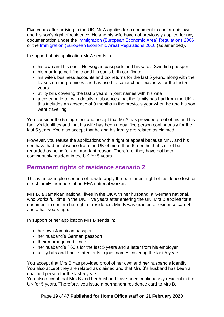Five years after arriving in the UK, Mr A applies for a document to confirm his own and his son's right of residence. He and his wife have not previously applied for any documentation under the [Immigration \(European Economic Area\)](http://www.legislation.gov.uk/uksi/2006/1003/contents/made) Regulations 2006 or the [Immigration \(European Economic Area\)](http://www.legislation.gov.uk/uksi/2016/1052/contents/made) Regulations 2016 (as amended).

In support of his application Mr A sends in:

- his own and his son's Norwegian passports and his wife's Swedish passport
- his marriage certificate and his son's birth certificate
- his wife's business accounts and tax returns for the last 5 years, along with the leases on the premises she has used to conduct her business for the last 5 years
- utility bills covering the last 5 years in joint names with his wife
- a covering letter with details of absences that the family has had from the UK this includes an absence of 9 months in the previous year when he and his son went travelling

You consider the 5 stage test and accept that Mr A has provided proof of his and his family's identities and that his wife has been a qualified person continuously for the last 5 years. You also accept that he and his family are related as claimed.

However, you refuse the applications with a right of appeal because Mr A and his son have had an absence from the UK of more than 6 months that cannot be regarded as being for an important reason. Therefore, they have not been continuously resident in the UK for 5 years.

### <span id="page-18-0"></span>**Permanent rights of residence scenario 2**

This is an example scenario of how to apply the permanent right of residence test for direct family members of an EEA national worker.

Mrs B, a Jamaican national, lives in the UK with her husband, a German national, who works full time in the UK. Five years after entering the UK, Mrs B applies for a document to confirm her right of residence. Mrs B was granted a residence card 4 and a half years ago.

In support of her application Mrs B sends in:

- her own Jamaican passport
- her husband's German passport
- their marriage certificate
- her husband's P60's for the last 5 years and a letter from his employer
- utility bills and bank statements in joint names covering the last 5 years

You accept that Mrs B has provided proof of her own and her husband's identity. You also accept they are related as claimed and that Mrs B's husband has been a qualified person for the last 5 years.

You also accept that Mrs B and her husband have been continuously resident in the UK for 5 years. Therefore, you issue a permanent residence card to Mrs B.

#### Page **19** of **47 Published for Home Office staff on 21 February 2020**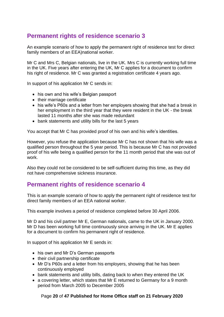## <span id="page-19-0"></span>**Permanent rights of residence scenario 3**

An example scenario of how to apply the permanent right of residence test for direct family members of an EEA)national worker.

Mr C and Mrs C, Belgian nationals, live in the UK. Mrs C is currently working full time in the UK. Five years after entering the UK, Mr C applies for a document to confirm his right of residence. Mr C was granted a registration certificate 4 years ago.

In support of his application Mr C sends in:

- his own and his wife's Belgian passport
- their marriage certificate
- his wife's P60s and a letter from her employers showing that she had a break in her employment in the third year that they were resident in the UK - the break lasted 11 months after she was made redundant
- bank statements and utility bills for the last 5 years

You accept that Mr C has provided proof of his own and his wife's identities.

However, you refuse the application because Mr C has not shown that his wife was a qualified person throughout the 5 year period. This is because Mr C has not provided proof of his wife being a qualified person for the 11 month period that she was out of work.

Also they could not be considered to be self-sufficient during this time, as they did not have comprehensive sickness insurance.

#### <span id="page-19-1"></span>**Permanent rights of residence scenario 4**

This is an example scenario of how to apply the permanent right of residence test for direct family members of an EEA national worker.

This example involves a period of residence completed before 30 April 2006.

Mr D and his civil partner Mr E, German nationals, came to the UK in January 2000. Mr D has been working full time continuously since arriving in the UK. Mr E applies for a document to confirm his permanent right of residence.

In support of his application Mr E sends in:

- his own and Mr D's German passports
- their civil partnership certificate
- Mr D's P60s and a letter from his employers, showing that he has been continuously employed
- bank statements and utility bills, dating back to when they entered the UK
- a covering letter, which states that Mr E returned to Germany for a 9 month period from March 2005 to December 2005

#### Page **20** of **47 Published for Home Office staff on 21 February 2020**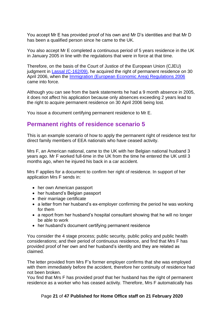You accept Mr E has provided proof of his own and Mr D's identities and that Mr D has been a qualified person since he came to the UK.

You also accept Mr E completed a continuous period of 5 years residence in the UK in January 2005 in line with the regulations that were in force at that time.

Therefore, on the basis of the Court of Justice of the European Union (CJEU) judgment in [Lassal \(C-162/09\),](http://curia.europa.eu/juris/liste.jsf?language=en&num=C-162/09) he acquired the right of permanent residence on 30 April 2006, when the [Immigration \(European Economic Area\) Regulations 2006](http://www.legislation.gov.uk/uksi/2006/1003/contents/made) came into force.

Although you can see from the bank statements he had a 9 month absence in 2005, it does not affect his application because only absences exceeding 2 years lead to the right to acquire permanent residence on 30 April 2006 being lost.

You issue a document certifying permanent residence to Mr E.

#### <span id="page-20-0"></span>**Permanent rights of residence scenario 5**

This is an example scenario of how to apply the permanent right of residence test for direct family members of EEA nationals who have ceased activity.

Mrs F, an American national, came to the UK with her Belgian national husband 3 years ago. Mr F worked full-time in the UK from the time he entered the UK until 3 months ago, when he injured his back in a car accident.

Mrs F applies for a document to confirm her right of residence. In support of her application Mrs F sends in:

- her own American passport
- her husband's Belgian passport
- their marriage certificate
- a letter from her husband's ex-employer confirming the period he was working for them
- a report from her husband's hospital consultant showing that he will no longer be able to work
- her husband's document certifying permanent residence

You consider the 4 stage process; public security, public policy and public health considerations; and their period of continuous residence, and find that Mrs F has provided proof of her own and her husband's identity and they are related as claimed.

The letter provided from Mrs F's former employer confirms that she was employed with them immediately before the accident, therefore her continuity of residence had not been broken.

You find that Mrs F has provided proof that her husband has the right of permanent residence as a worker who has ceased activity. Therefore, Mrs F automatically has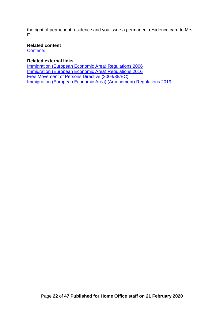the right of permanent residence and you issue a permanent residence card to Mrs F.

#### **Related content**

**[Contents](#page-0-0)** 

#### **Related external links**

<span id="page-21-0"></span>[Immigration \(European Economic Area\)](http://www.legislation.gov.uk/uksi/2006/1003) Regulations 2006 [Immigration \(European Economic Area\) Regulations 2016](http://www.legislation.gov.uk/uksi/2016/1052/contents/made) [Free Movement of Persons Directive \(2004/38/EC\)](http://eur-lex.europa.eu/LexUriServ/LexUriServ.do?uri=OJ:L:2004:158:0077:0123:EN:PDF) [Immigration \(European Economic Area\) \(Amendment\) Regulations 2019](http://www.legislation.gov.uk/uksi/2019/1155/contents/made)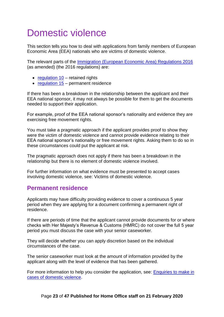# <span id="page-22-1"></span>Domestic violence

This section tells you how to deal with applications from family members of European Economic Area (EEA) nationals who are victims of domestic violence.

The relevant parts of the [Immigration \(European Economic Area\) Regulations 2016](http://www.legislation.gov.uk/uksi/2016/1052/contents/made) (as amended) (the 2016 regulations) are:

- $\bullet$  [regulation 10](http://www.legislation.gov.uk/uksi/2016/1052/regulation/10/made) retained rights
- [regulation 15](http://www.legislation.gov.uk/uksi/2016/1052/regulation/15/made) permanent residence

If there has been a breakdown in the relationship between the applicant and their EEA national sponsor, it may not always be possible for them to get the documents needed to support their application.

For example, proof of the EEA national sponsor's nationality and evidence they are exercising free movement rights.

You must take a pragmatic approach if the applicant provides proof to show they were the victim of domestic violence and cannot provide evidence relating to their EEA national sponsor's nationality or free movement rights. Asking them to do so in these circumstances could put the applicant at risk.

The pragmatic approach does not apply if there has been a breakdown in the relationship but there is no element of domestic violence involved.

For further information on what evidence must be presented to accept cases involving domestic violence, see: Victims of domestic violence.

### <span id="page-22-0"></span>**Permanent residence**

Applicants may have difficulty providing evidence to cover a continuous 5 year period when they are applying for a document confirming a permanent right of residence.

If there are periods of time that the applicant cannot provide documents for or where checks with Her Majesty's Revenue & Customs (HMRC) do not cover the full 5 year period you must discuss the case with your senior caseworker.

They will decide whether you can apply discretion based on the individual circumstances of the case.

The senior caseworker must look at the amount of information provided by the applicant along with the level of evidence that has been gathered.

For more information to help you consider the application, see: [Enquiries to make in](#page-23-0) [cases of domestic violence.](#page-23-0)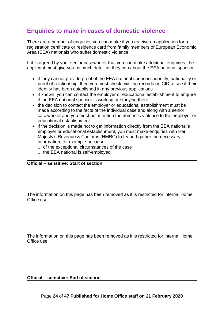## <span id="page-23-0"></span>**Enquiries to make in cases of domestic violence**

There are a number of enquiries you can make if you receive an application for a registration certificate or residence card from family members of European Economic Area (EEA) nationals who suffer domestic violence.

If it is agreed by your senior caseworker that you can make additional enquiries, the applicant must give you as much detail as they can about the EEA national sponsor:

- if they cannot provide proof of the EEA national sponsor's identity, nationality or proof of relationship, then you must check existing records on CID to see if their identity has been established in any previous applications
- if known, you can contact the employer or educational establishment to enquire if the EEA national sponsor is working or studying there.
- the decision to contact the employer or educational establishment must be made according to the facts of the individual case and along with a senior caseworker and you must not mention the domestic violence to the employer or educational establishment
- if the decision is made not to get information directly from the EEA national's employer or educational establishment, you must make enquiries with Her Majesty's Revenue & Customs (HMRC) to try and gather the necessary information, for example because:
	- o of the exceptional circumstances of the case
	- o the EEA national is self-employed

#### **Official – sensitive: Start of section**

The information on this page has been removed as it is restricted for internal Home Office use.

The information on this page has been removed as it is restricted for internal Home Office use.

#### **Official – sensitive: End of section**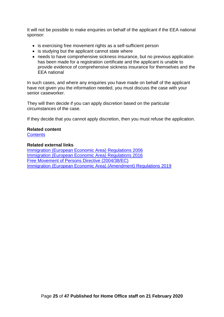It will not be possible to make enquiries on behalf of the applicant if the EEA national sponsor:

- is exercising free movement rights as a self-sufficient person
- is studying but the applicant cannot state where
- needs to have comprehensive sickness insurance, but no previous application has been made for a registration certificate and the applicant is unable to provide evidence of comprehensive sickness insurance for themselves and the EEA national

In such cases, and where any enquiries you have made on behalf of the applicant have not given you the information needed, you must discuss the case with your senior caseworker.

They will then decide if you can apply discretion based on the particular circumstances of the case.

If they decide that you cannot apply discretion, then you must refuse the application.

#### **Related content**

**[Contents](#page-0-0)** 

#### **Related external links**

<span id="page-24-0"></span>[Immigration \(European Economic Area\)](http://www.legislation.gov.uk/uksi/2006/1003) Regulations 2006 [Immigration \(European Economic Area\) Regulations 2016](http://www.legislation.gov.uk/uksi/2016/1052/contents/made) [Free Movement of Persons Directive \(2004/38/EC\)](http://eur-lex.europa.eu/LexUriServ/LexUriServ.do?uri=OJ:L:2004:158:0077:0123:EN:PDF) [Immigration \(European Economic Area\) \(Amendment\) Regulations 2019](http://www.legislation.gov.uk/uksi/2019/1155/contents/made)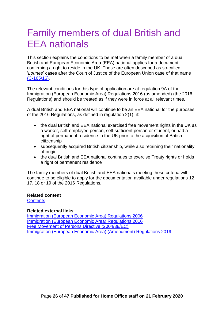# <span id="page-25-0"></span>Family members of dual British and EEA nationals

This section explains the conditions to be met when a family member of a dual British and European Economic Area (EEA) national applies for a document confirming a right to reside in the UK. These are often described as so-called '*Lounes*' cases after the Court of Justice of the European Union case of that name [\(C-165/16\).](http://curia.europa.eu/juris/document/document.jsf;jsessionid=9ea7d0f130da4dda703306aa4858a868d0781ec3c9b0.e34KaxiLc3eQc40LaxqMbN4Pb3eTe0?text=&docid=196641&pageIndex=0&doclang=EN&mode=lst&dir=&occ=first&part=1&cid=106645)

The relevant conditions for this type of application are at regulation 9A of the Immigration (European Economic Area) Regulations 2016 (as amended) (the 2016 Regulations) and should be treated as if they were in force at all relevant times.

A dual British and EEA national will continue to be an EEA national for the purposes of the 2016 Regulations, as defined in regulation 2(1), if:

- the dual British and EEA national exercised free movement rights in the UK as a worker, self-employed person, self-sufficient person or student, or had a right of permanent residence in the UK prior to the acquisition of British citizenship
- subsequently acquired British citizenship, while also retaining their nationality of origin
- the dual British and EEA national continues to exercise Treaty rights or holds a right of permanent residence

The family members of dual British and EEA nationals meeting these criteria will continue to be eligible to apply for the documentation available under regulations 12, 17, 18 or 19 of the 2016 Regulations.

#### **Related content**

**[Contents](#page-0-0)** 

#### **Related external links**

[Immigration \(European Economic Area\) Regulations 2006](http://www.legislation.gov.uk/uksi/2006/1003) [Immigration \(European Economic Area\) Regulations 2016](http://www.legislation.gov.uk/uksi/2016/1052/contents/made) [Free Movement of Persons Directive \(2004/38/EC\)](http://eur-lex.europa.eu/LexUriServ/LexUriServ.do?uri=OJ:L:2004:158:0077:0123:EN:PDF) [Immigration \(European Economic Area\) \(Amendment\) Regulations 2019](http://www.legislation.gov.uk/uksi/2019/1155/contents/made)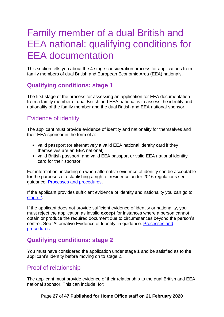## <span id="page-26-0"></span>Family member of a dual British and EEA national: qualifying conditions for EEA documentation

This section tells you about the 4 stage consideration process for applications from family members of dual British and European Economic Area (EEA) nationals.

## <span id="page-26-1"></span>**Qualifying conditions: stage 1**

The first stage of the process for assessing an application for EEA documentation from a family member of dual British and EEA national is to assess the identity and nationality of the family member and the dual British and EEA national sponsor.

## <span id="page-26-2"></span>Evidence of identity

The applicant must provide evidence of identity and nationality for themselves and their EEA sponsor in the form of a:

- valid passport (or alternatively a valid EEA national identity card if they themselves are an EEA national)
- valid British passport, and valid EEA passport or valid EEA national identity card for their sponsor

For information, including on when alternative evidence of identity can be acceptable for the purposes of establishing a right of residence under 2016 regulations see guidance: [Processes and procedures.](https://www.gov.uk/government/publications/processes-and-procedures-for-eea-documentation-applications)

If the applicant provides sufficient evidence of identity and nationality you can go to [stage 2.](#page-9-3)

If the applicant does not provide sufficient evidence of identity or nationality, you must reject the application as invalid **except** for instances where a person cannot obtain or produce the required document due to circumstances beyond the person's control. See 'Alternative Evidence of Identity' in guidance: [Processes and](https://www.gov.uk/government/publications/processes-and-procedures-for-eea-documentation-applications)  [procedures](https://www.gov.uk/government/publications/processes-and-procedures-for-eea-documentation-applications)

## <span id="page-26-3"></span>**Qualifying conditions: stage 2**

You must have considered the application under stage 1 and be satisfied as to the applicant's identity before moving on to stage 2.

## <span id="page-26-4"></span>Proof of relationship

The applicant must provide evidence of their relationship to the dual British and EEA national sponsor. This can include, for:

#### Page **27** of **47 Published for Home Office staff on 21 February 2020**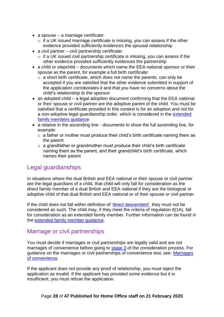- a spouse a marriage certificate:
	- o if a UK issued marriage certificate is missing, you can assess if the other evidence provided sufficiently evidences the spousal relationship
- a civil partner civil partnership certificate:
	- o if a UK issued civil partnership certificate is missing, you can assess if the other evidence provided sufficiently evidences the partnership
- a child or stepchild documents which name the EEA national sponsor or their spouse as the parent, for example a full birth certificate:
	- $\circ$  a short birth certificate, which does not name the parents, can only be accepted if you are satisfied that the other evidence submitted in support of the application corroborates it and that you have no concerns about the child's relationship to the sponsor
- an adopted child a legal adoption document confirming that the EEA national or their spouse or civil partner are the adoptive parent of the child. You must be satisfied that a certificate provided in this context is for an adoption and not for a non-adoptive legal guardianship order, which is considered in the [extended](https://www.gov.uk/government/publications/extended-family-members-of-eea-nationals)  family members quidance
- a relative in the ascending line documents to show the full ascending line, for example:
	- $\circ$  a father or mother must produce their child's birth certificate naming them as the parent
	- o a grandfather or grandmother must produce their child's birth certificate naming them as the parent, and their grandchild's birth certificate, which names their parent

### <span id="page-27-0"></span>Legal guardianships

In situations where the dual British and EEA national or their spouse or civil partner are the legal guardians of a child, that child will only fall for consideration as the direct family member of a dual British and EEA national if they are the biological or adoptive child of that dual British and EEA national or of their spouse or civil partner.

If the child does not fall within definition of ['direct descendant',](#page-6-0) they must not be considered as such. The child may, if they meet the criteria of regulation 8(1A), fall for consideration as an extended family member. Further information can be found in the [extended family member guidance.](https://www.gov.uk/government/publications/extended-family-members-of-eea-nationals)

### <span id="page-27-1"></span>Marriage or civil partnerships

You must decide if marriages or civil partnerships are legally valid and are not marriages of convenience before going to [stage 3](#page-11-0) of the consideration process. For guidance on the marriages or civil partnerships of convenience test, see: [Marriages](#page-36-0)  [of convenience.](#page-36-0)

If the applicant does not provide any proof of relationship, you must reject the application as invalid. If the applicant has provided some evidence but it is insufficient, you must refuse the application.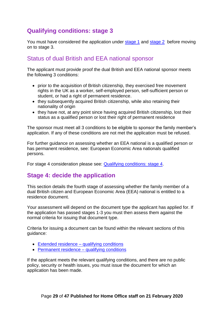## <span id="page-28-0"></span>**Qualifying conditions: stage 3**

You must have considered the application under [stage 1](#page-8-1) and [stage 2](#page-9-3) before moving on to stage 3.

## <span id="page-28-1"></span>Status of dual British and EEA national sponsor

The applicant must provide proof the dual British and EEA national sponsor meets the following 3 conditions:

- prior to the acquisition of British citizenship, they exercised free movement rights in the UK as a worker, self-employed person, self-sufficient person or student, or had a right of permanent residence.
- they subsequently acquired British citizenship, while also retaining their nationality of origin
- they have not, at any point since having acquired British citizenship, lost their status as a qualified person or lost their right of permanent residence

The sponsor must meet all 3 conditions to be eligible to sponsor the family member's application. If any of these conditions are not met the application must be refused.

For further guidance on assessing whether an EEA national is a qualified person or has permanent residence, see: European Economic Area nationals qualified persons.

For stage 4 consideration please see: **Qualifying conditions: stage 4.** 

## <span id="page-28-2"></span>**Stage 4: decide the application**

This section details the fourth stage of assessing whether the family member of a dual British citizen and European Economic Area (EEA) national is entitled to a residence document.

Your assessment will depend on the document type the applicant has applied for. If the application has passed stages 1-3 you must then assess them against the normal criteria for issuing that document type.

Criteria for issuing a document can be found within the relevant sections of this guidance:

- [Extended residence –](#page-7-0) qualifying conditions
- [Permanent residence –](#page-16-1) qualifying conditions

If the applicant meets the relevant qualifying conditions, and there are no public policy, security or health issues, you must issue the document for which an application has been made.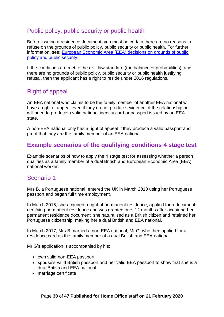## <span id="page-29-0"></span>Public policy, public security or public health

Before issuing a residence document, you must be certain there are no reasons to refuse on the grounds of public policy, public security or public health. For further information, see: [European Economic Area \(EEA\) decisions on grounds of public](https://assets.publishing.service.gov.uk/government/uploads/system/uploads/attachment_data/file/668087/EEA-Decisions-taken-on-grounds-of-public-policy-3.0EXT.pdf)  [policy and public security.](https://assets.publishing.service.gov.uk/government/uploads/system/uploads/attachment_data/file/668087/EEA-Decisions-taken-on-grounds-of-public-policy-3.0EXT.pdf)

If the conditions are met to the civil law standard (the balance of probabilities), and there are no grounds of public policy, public security or public health justifying refusal, then the applicant has a right to reside under 2016 regulations.

## <span id="page-29-1"></span>Right of appeal

An EEA national who claims to be the family member of another EEA national will have a right of appeal even if they do not produce evidence of the relationship but will need to produce a valid national identity card or passport issued by an EEA state.

A non-EEA national only has a right of appeal if they produce a valid passport and proof that they are the family member of an EEA national.

## <span id="page-29-2"></span>**Example scenarios of the qualifying conditions 4 stage test**

Example scenarios of how to apply the 4 stage test for assessing whether a person qualifies as a family member of a dual British and European Economic Area (EEA) national worker.

### <span id="page-29-3"></span>Scenario 1

Mrs B, a Portuguese national, entered the UK in March 2010 using her Portuguese passport and began full time employment.

In March 2015, she acquired a right of permanent residence, applied for a document certifying permanent residence and was granted one. 12 months after acquiring her permanent residence document, she naturalised as a British citizen and retained her Portuguese citizenship, making her a dual British and EEA national.

In March 2017, Mrs B married a non-EEA national, Mr G, who then applied for a residence card as the family member of a dual British and EEA national.

Mr G's application is accompanied by his:

- own valid non-EEA passport
- spouse's valid British passport and her valid EEA passport to show that she is a dual British and EEA national
- marriage certificate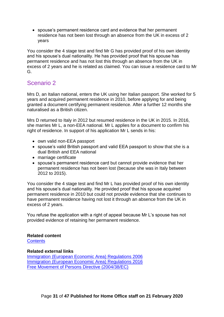• spouse's permanent residence card and evidence that her permanent residence has not been lost through an absence from the UK in excess of 2 years

You consider the 4 stage test and find Mr G has provided proof of his own identity and his spouse's dual nationality. He has provided proof that his spouse has permanent residence and has not lost this through an absence from the UK in excess of 2 years and he is related as claimed. You can issue a residence card to Mr G.

## <span id="page-30-0"></span>Scenario 2

Mrs D, an Italian national, enters the UK using her Italian passport. She worked for 5 years and acquired permanent residence in 2010, before applying for and being granted a document certifying permanent residence. After a further 12 months she naturalised as a British citizen.

Mrs D returned to Italy in 2012 but resumed residence in the UK in 2015. In 2016, she marries Mr L, a non-EEA national. Mr L applies for a document to confirm his right of residence. In support of his application Mr L sends in his:

- own valid non-EEA passport
- spouse's valid British passport and valid EEA passport to show that she is a dual British and EEA national
- marriage certificate
- spouse's permanent residence card but cannot provide evidence that her permanent residence has not been lost (because she was in Italy between 2012 to 2015).

You consider the 4 stage test and find Mr L has provided proof of his own identity and his spouse's dual nationality. He provided proof that his spouse acquired permanent residence in 2010 but could not provide evidence that she continues to have permanent residence having not lost it through an absence from the UK in excess of 2 years.

You refuse the application with a right of appeal because Mr L's spouse has not provided evidence of retaining her permanent residence.

#### **Related content**

**[Contents](#page-0-0)** 

#### **Related external links**

[Immigration \(European Economic Area\) Regulations 2006](http://www.legislation.gov.uk/uksi/2006/1003) [Immigration \(European Economic Area\) Regulations 2016](http://www.legislation.gov.uk/uksi/2016/1052/contents/made) [Free Movement of Persons Directive \(2004/38/EC\)](http://eur-lex.europa.eu/LexUriServ/LexUriServ.do?uri=OJ:L:2004:158:0077:0123:EN:PDF)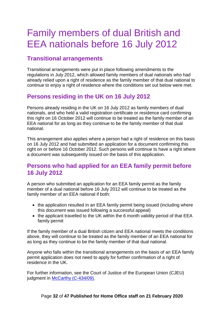# <span id="page-31-0"></span>Family members of dual British and EEA nationals before 16 July 2012

## <span id="page-31-1"></span>**Transitional arrangements**

Transitional arrangements were put in place following amendments to the regulations in July 2012, which allowed family members of dual nationals who had already relied upon a right of residence as the family member of that dual national to continue to enjoy a right of residence where the conditions set out below were met.

## <span id="page-31-2"></span>**Persons residing in the UK on 16 July 2012**

Persons already residing in the UK on 16 July 2012 as family members of dual nationals, and who held a valid registration certificate or residence card confirming this right on 16 October 2012 will continue to be treated as the family member of an EEA national for as long as they continue to be the family member of that dual national.

This arrangement also applies where a person had a right of residence on this basis on 16 July 2012 and had submitted an application for a document confirming this right on or before 16 October 2012. Such persons will continue to have a right where a document was subsequently issued on the basis of this application.

### <span id="page-31-3"></span>**Persons who had applied for an EEA family permit before 16 July 2012**

A person who submitted an application for an EEA family permit as the family member of a dual national before 16 July 2012 will continue to be treated as the family member of an EEA national if both:

- the application resulted in an EEA family permit being issued (including where this document was issued following a successful appeal)
- the applicant travelled to the UK within the 6 month validity period of that EEA family permit

If the family member of a dual British citizen and EEA national meets the conditions above, they will continue to be treated as the family member of an EEA national for as long as they continue to be the family member of that dual national.

Anyone who falls within the transitional arrangements on the basis of an EEA family permit application does not need to apply for further confirmation of a right of residence in the UK.

For further information, see the Court of Justice of the European Union (CJEU) judgment in [McCarthy \(C-434/09\).](https://eur-lex.europa.eu/legal-content/EN/TXT/?uri=CELEX%3A62009CJ0434)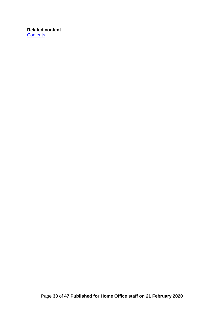#### **Related content [Contents](#page-0-0)**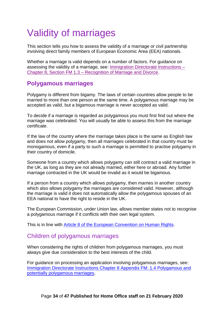# <span id="page-33-0"></span>Validity of marriages

This section tells you how to assess the validity of a marriage or civil partnership involving direct family members of European Economic Area (EEA) nationals.

Whether a marriage is valid depends on a number of factors. For guidance on assessing the validity of a marriage, see: [Immigration Directorate Instructions –](https://www.gov.uk/government/publications/chapter-8-section-1spouses) Chapter 8, Section FM 1.3 – [Recognition of Marriage and Divorce.](https://www.gov.uk/government/publications/chapter-8-section-1spouses)

## <span id="page-33-1"></span>**Polygamous marriages**

Polygamy is different from bigamy. The laws of certain countries allow people to be married to more than one person at the same time. A polygamous marriage may be accepted as valid, but a bigamous marriage is never accepted as valid.

To decide if a marriage is regarded as polygamous you must first find out where the marriage was celebrated. You will usually be able to assess this from the marriage certificate.

If the law of the country where the marriage takes place is the same as English law and does not allow polygamy, then all marriages celebrated in that country must be monogamous, even if a party to such a marriage is permitted to practise polygamy in their country of domicile.

Someone from a country which allows polygamy can still contract a valid marriage in the UK, as long as they are not already married, either here or abroad. Any further marriage contracted in the UK would be invalid as it would be bigamous.

If a person from a country which allows polygamy, then marries in another country which also allows polygamy the marriages are considered valid. However, although the marriage is valid it does not automatically allow the polygamous spouses of an EEA national to have the right to reside in the UK.

The European Commission, under Union law, allows member states not to recognise a polygamous marriage if it conflicts with their own legal system.

This is in line with Article [8 of the European Convention on](http://www.coe.int/en/web/conventions/full-list/-/conventions/rms/0900001680063765) Human Rights.

#### <span id="page-33-2"></span>Children of polygamous marriages

When considering the rights of children from polygamous marriages, you must always give due consideration to the best interests of the child.

For guidance on processing an application involving polygamous marriages, see: [Immigration Directorate Instructions Chapter 8 Appendix FM: 1.4 Polygamous and](https://www.gov.uk/government/publications/chapter-8-section-1spouses)  [potentially polygamous marriages.](https://www.gov.uk/government/publications/chapter-8-section-1spouses)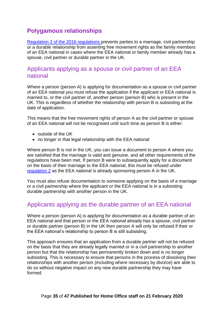## <span id="page-34-0"></span>**Polygamous relationships**

[Regulation 2 of the 2016 regulations](http://www.legislation.gov.uk/uksi/2016/1052/regulation/2/made) prevents parties to a marriage, civil partnership or a durable relationship from asserting free movement rights as the family members of an EEA national in cases where the EEA national or family member already has a spouse, civil partner or durable partner in the UK.

#### <span id="page-34-1"></span>Applicants applying as a spouse or civil partner of an EEA national

Where a person (person A) is applying for documentation as a spouse or civil partner of an EEA national you must refuse the application if the applicant or EEA national is married to, or the civil partner of, another person (person B) who is present in the UK. This is regardless of whether the relationship with person B is subsisting at the date of application.

This means that the free movement rights of person A as the civil partner or spouse of an EEA national will not be recognised until such time as person B is either:

- outside of the UK
- no longer in that legal relationship with the EEA national

Where person B is not in the UK, you can issue a document to person A where you are satisfied that the marriage is valid and genuine, and all other requirements of the regulations have been met. If person B were to subsequently apply for a document on the basis of their marriage to the EEA national, this must be refused under [regulation 2](http://www.legislation.gov.uk/uksi/2016/1052/regulation/2/made) as the EEA national is already sponsoring person A in the UK.

You must also refuse documentation to someone applying on the basis of a marriage or a civil partnership where the applicant or the EEA national is in a subsisting durable partnership with another person in the UK.

#### <span id="page-34-2"></span>Applicants applying as the durable partner of an EEA national

Where a person (person A) is applying for documentation as a durable partner of an EEA national and that person or the EEA national already has a spouse, civil partner or durable partner (person B) in the UK then person A will only be refused if their or the EEA national's relationship to person B is still subsisting.

This approach ensures that an application from a durable partner will not be refused on the basis that they are already legally married or in a civil partnership to another person but that the relationship has permanently broken down and is no longer subsisting. This is necessary to ensure that persons in the process of dissolving their relationships with another person (including where necessary by divorce) are able to do so without negative impact on any new durable partnership they may have formed.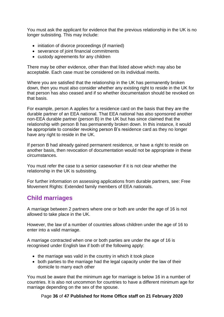You must ask the applicant for evidence that the previous relationship in the UK is no longer subsisting. This may include:

- initiation of divorce proceedings (if married)
- severance of joint financial commitments
- custody agreements for any children

There may be other evidence, other than that listed above which may also be acceptable. Each case must be considered on its individual merits.

Where you are satisfied that the relationship in the UK has permanently broken down, then you must also consider whether any existing right to reside in the UK for that person has also ceased and if so whether documentation should be revoked on that basis.

For example, person A applies for a residence card on the basis that they are the durable partner of an EEA national. That EEA national has also sponsored another non-EEA durable partner (person B) in the UK but has since claimed that the relationship with person B has permanently broken down. In this instance, it would be appropriate to consider revoking person B's residence card as they no longer have any right to reside in the UK.

If person B had already gained permanent residence, or have a right to reside on another basis, then revocation of documentation would not be appropriate in these circumstances.

You must refer the case to a senior caseworker if it is not clear whether the relationship in the UK is subsisting.

For further information on assessing applications from durable partners, see: Free Movement Rights: Extended family members of EEA nationals.

## <span id="page-35-0"></span>**Child marriages**

A marriage between 2 partners where one or both are under the age of 16 is not allowed to take place in the UK.

However, the law of a number of countries allows children under the age of 16 to enter into a valid marriage.

A marriage contracted when one or both parties are under the age of 16 is recognised under English law if both of the following apply:

- the marriage was valid in the country in which it took place
- both parties to the marriage had the legal capacity under the law of their domicile to marry each other

You must be aware that the minimum age for marriage is below 16 in a number of countries. It is also not uncommon for countries to have a different minimum age for marriage depending on the sex of the spouse.

#### Page **36** of **47 Published for Home Office staff on 21 February 2020**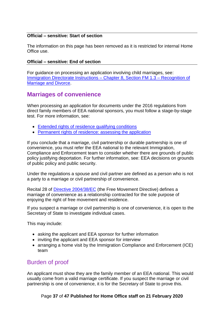#### **Official – sensitive: Start of section**

The information on this page has been removed as it is restricted for internal Home Office use.

#### **Official – sensitive: End of section**

For guidance on processing an application involving child marriages, see: [Immigration Directorate Instructions –](https://www.gov.uk/government/publications/chapter-8-section-1spouses) Chapter 8, Section FM 1.3 – Recognition of [Marriage and Divorce.](https://www.gov.uk/government/publications/chapter-8-section-1spouses)

### <span id="page-36-0"></span>**Marriages of convenience**

When processing an application for documents under the 2016 regulations from direct family members of EEA national sponsors, you must follow a stage-by-stage test. For more information, see:

- [Extended rights of residence qualifying conditions](#page-8-0)
- [Permanent rights of residence: assessing the application](#page-17-0)

If you conclude that a marriage, civil partnership or durable partnership is one of convenience, you must refer the EEA national to the relevant Immigration, Compliance and Enforcement team to consider whether there are grounds of public policy justifying deportation. For further information, see: EEA decisions on grounds of public policy and public security.

Under the regulations a spouse and civil partner are defined as a person who is not a party to a marriage or civil partnership of convenience.

Recital 28 of [Directive 2004/38/EC](http://eur-lex.europa.eu/LexUriServ/LexUriServ.do?uri=OJ:L:2004:158:0077:0123:en:PDF) (the Free Movement Directive) defines a marriage of convenience as a relationship contracted for the sole purpose of enjoying the right of free movement and residence.

If you suspect a marriage or civil partnership is one of convenience, it is open to the Secretary of State to investigate individual cases.

This may include:

- asking the applicant and EEA sponsor for further information
- inviting the applicant and EEA sponsor for interview
- arranging a home visit by the Immigration Compliance and Enforcement (ICE) team

### <span id="page-36-1"></span>Burden of proof

An applicant must show they are the family member of an EEA national. This would usually come from a valid marriage certificate. If you suspect the marriage or civil partnership is one of convenience, it is for the Secretary of State to prove this.

#### Page **37** of **47 Published for Home Office staff on 21 February 2020**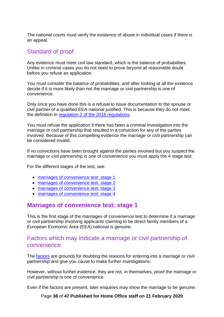The national courts must verify the existence of abuse in individual cases if there is an appeal.

### <span id="page-37-0"></span>Standard of proof

Any evidence must meet civil law standard, which is the balance of probabilities. Unlike in criminal cases you do not need to prove beyond all reasonable doubt before you refuse an application.

You must consider the balance of probabilities, and after looking at all the evidence decide if it is more likely than not the marriage or civil partnership is one of convenience.

Only once you have done this is a refusal to issue documentation to the spouse or civil partner of a qualified EEA national justified. This is because they do not meet the definition in [regulation 2 of the 2016 regulations.](http://www.legislation.gov.uk/uksi/2016/1052/regulation/2/made)

You must refuse the application if there has been a criminal investigation into the marriage or civil partnership that resulted in a conviction for any of the parties involved. Because of this compelling evidence the marriage or civil partnership can be considered invalid.

If no convictions have been brought against the parties involved but you suspect the marriage or civil partnership is one of convenience you must apply the 4 stage test.

For the different stages of the test, see:

- [marriages of convenience test: stage 1](#page-37-1)
- [marriages of convenience test:](#page-38-0) stage 2
- [marriages of convenience test: stage 3](#page-39-1)
- [marriages of convenience test: stage 4](#page-41-0)

#### <span id="page-37-1"></span>**Marriages of convenience test: stage 1**

This is the first stage of the marriages of convenience test to determine if a marriage or civil partnership involving applicants claiming to be direct family members of a European Economic Area (EEA) national is genuine.

#### <span id="page-37-2"></span>Factors which may indicate a marriage or civil partnership of convenience

The factors are grounds for doubting the reasons for entering into a marriage or civil partnership and give you cause to make further investigations.

However, without further evidence, they are not, in themselves, proof the marriage or civil partnership is one of convenience.

Even if the factors are present, later enquiries may show the marriage to be genuine.

Page **38** of **47 Published for Home Office staff on 21 February 2020**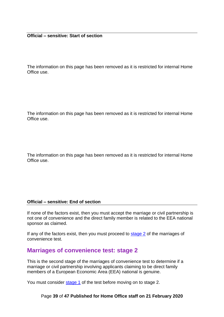The information on this page has been removed as it is restricted for internal Home Office use.

The information on this page has been removed as it is restricted for internal Home Office use.

The information on this page has been removed as it is restricted for internal Home Office use.

#### **Official – sensitive: End of section**

If none of the factors exist, then you must accept the marriage or civil partnership is not one of convenience and the direct family member is related to the EEA national sponsor as claimed.

If any of the factors exist, then you must proceed to [stage 2](#page-38-0) of the marriages of convenience test.

#### <span id="page-38-0"></span>**Marriages of convenience test: stage 2**

This is the second stage of the marriages of convenience test to determine if a marriage or civil partnership involving applicants claiming to be direct family members of a European Economic Area (EEA) national is genuine.

You must consider [stage 1](#page-37-1) of the test before moving on to stage 2.

#### Page **39** of **47 Published for Home Office staff on 21 February 2020**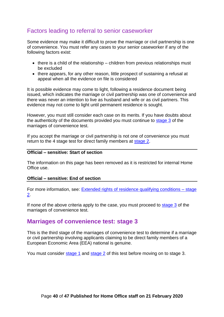### <span id="page-39-0"></span>Factors leading to referral to senior caseworker

Some evidence may make it difficult to prove the marriage or civil partnership is one of convenience. You must refer any cases to your senior caseworker if any of the following factors exist:

- there is a child of the relationship children from previous relationships must be excluded
- there appears, for any other reason, little prospect of sustaining a refusal at appeal when all the evidence on file is considered

It is possible evidence may come to light, following a residence document being issued, which indicates the marriage or civil partnership was one of convenience and there was never an intention to live as husband and wife or as civil partners. This evidence may not come to light until permanent residence is sought.

However, you must still consider each case on its merits. If you have doubts about the authenticity of the documents provided you must continue to [stage 3](#page-39-1) of the marriages of convenience test.

If you accept the marriage or civil partnership is not one of convenience you must return to the 4 stage test for direct family members at [stage 2.](#page-38-0)

#### **Official – sensitive: Start of section**

The information on this page has been removed as it is restricted for internal Home Office use.

#### **Official – sensitive: End of section**

For more information, see: [Extended rights of residence qualifying conditions –](#page-9-3) stage [2.](#page-9-3)

If none of the above criteria apply to the case, you must proceed to [stage 3](#page-39-1) of the marriages of convenience test.

#### <span id="page-39-1"></span>**Marriages of convenience test: stage 3**

This is the third stage of the marriages of convenience test to determine if a marriage or civil partnership involving applicants claiming to be direct family members of a European Economic Area (EEA) national is genuine.

You must consider [stage 1](#page-37-1) and [stage](#page-38-0) 2 of this test before moving on to stage 3.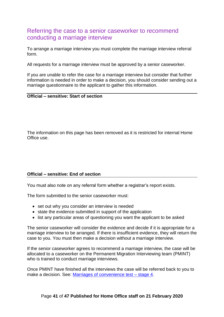### <span id="page-40-0"></span>Referring the case to a senior caseworker to recommend conducting a marriage interview

To arrange a marriage interview you must complete the marriage interview referral form.

All requests for a marriage interview must be approved by a senior caseworker.

If you are unable to refer the case for a marriage interview but consider that further information is needed in order to make a decision, you should consider sending out a marriage questionnaire to the applicant to gather this information.

#### **Official – sensitive: Start of section**

The information on this page has been removed as it is restricted for internal Home Office use.

#### **Official – sensitive: End of section**

You must also note on any referral form whether a registrar's report exists.

The form submitted to the senior caseworker must:

- set out why you consider an interview is needed
- state the evidence submitted in support of the application
- list any particular areas of questioning you want the applicant to be asked

The senior caseworker will consider the evidence and decide if it is appropriate for a marriage interview to be arranged. If there is insufficient evidence, they will return the case to you. You must then make a decision without a marriage interview.

If the senior caseworker agrees to recommend a marriage interview, the case will be allocated to a caseworker on the Permanent Migration Interviewing team (PMINT) who is trained to conduct marriage interviews.

Once PMINT have finished all the interviews the case will be referred back to you to make a decision. See: [Marriages of convenience test –](#page-41-0) stage 4.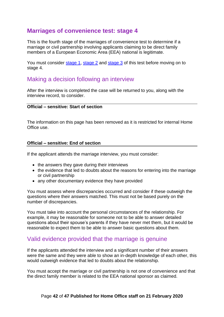#### <span id="page-41-0"></span>**Marriages of convenience test: stage 4**

This is the fourth stage of the marriages of convenience test to determine if a marriage or civil partnership involving applicants claiming to be direct family members of a European Economic Area (EEA) national is legitimate.

You must consider [stage](#page-37-1) 1, [stage 2](#page-38-0) and [stage 3](#page-39-1) of this test before moving on to stage 4.

#### <span id="page-41-1"></span>Making a decision following an interview

After the interview is completed the case will be returned to you, along with the interview record, to consider.

#### **Official – sensitive: Start of section**

The information on this page has been removed as it is restricted for internal Home Office use.

#### **Official – sensitive: End of section**

If the applicant attends the marriage interview, you must consider:

- the answers they gave during their interviews
- the evidence that led to doubts about the reasons for entering into the marriage or civil partnership
- any other documentary evidence they have provided

You must assess where discrepancies occurred and consider if these outweigh the questions where their answers matched. This must not be based purely on the number of discrepancies.

You must take into account the personal circumstances of the relationship. For example, it may be reasonable for someone not to be able to answer detailed questions about their spouse's parents if they have never met them, but it would be reasonable to expect them to be able to answer basic questions about them.

#### <span id="page-41-2"></span>Valid evidence provided that the marriage is genuine

If the applicants attended the interview and a significant number of their answers were the same and they were able to show an in-depth knowledge of each other, this would outweigh evidence that led to doubts about the relationship.

You must accept the marriage or civil partnership is not one of convenience and that the direct family member is related to the EEA national sponsor as claimed.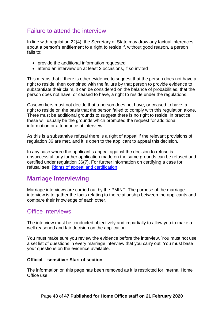## <span id="page-42-0"></span>Failure to attend the interview

In line with regulation 22(4), the Secretary of State may draw any factual inferences about a person's entitlement to a right to reside if, without good reason, a person fails to:

- provide the additional information requested
- attend an interview on at least 2 occasions, if so invited

This means that if there is other evidence to suggest that the person does not have a right to reside, then combined with the failure by that person to provide evidence to substantiate their claim, it can be considered on the balance of probabilities, that the person does not have, or ceased to have, a right to reside under the regulations.

Caseworkers must not decide that a person does not have, or ceased to have, a right to reside on the basis that the person failed to comply with this regulation alone. There must be additional grounds to suggest there is no right to reside; in practice these will usually be the grounds which prompted the request for additional information or attendance at interview.

As this is a substantive refusal there is a right of appeal if the relevant provisions of regulation 36 are met, and it is open to the applicant to appeal this decision.

In any case where the applicant's appeal against the decision to refuse is unsuccessful, any further application made on the same grounds can be refused and certified under regulation 36(7). For further information on certifying a case for refusal see: [Rights of appeal and certification.](https://www.gov.uk/government/publications/appeals)

### <span id="page-42-1"></span>**Marriage interviewing**

Marriage interviews are carried out by the PMINT. The purpose of the marriage interview is to gather the facts relating to the relationship between the applicants and compare their knowledge of each other.

#### <span id="page-42-2"></span>Office interviews

The interview must be conducted objectively and impartially to allow you to make a well reasoned and fair decision on the application.

You must make sure you review the evidence before the interview. You must not use a set list of questions in every marriage interview that you carry out. You must base your questions on the evidence available.

#### **Official – sensitive: Start of section**

The information on this page has been removed as it is restricted for internal Home Office use.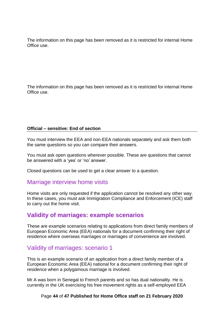The information on this page has been removed as it is restricted for internal Home Office use.

The information on this page has been removed as it is restricted for internal Home Office use.

#### **Official – sensitive: End of section**

You must interview the EEA and non-EEA nationals separately and ask them both the same questions so you can compare their answers.

You must ask open questions wherever possible. These are questions that cannot be answered with a 'yes' or 'no' answer.

Closed questions can be used to get a clear answer to a question.

#### <span id="page-43-0"></span>Marriage interview home visits

Home visits are only requested if the application cannot be resolved any other way. In these cases, you must ask Immigration Compliance and Enforcement (ICE) staff to carry out the home visit.

### <span id="page-43-1"></span>**Validity of marriages: example scenarios**

These are example scenarios relating to applications from direct family members of European Economic Area (EEA) nationals for a document confirming their right of residence where overseas marriages or marriages of convenience are involved.

#### <span id="page-43-2"></span>Validity of marriages: scenario 1

This is an example scenario of an application from a direct family member of a European Economic Area (EEA) national for a document confirming their right of residence when a polygamous marriage is involved.

Mr A was born in Senegal to French parents and so has dual nationality. He is currently in the UK exercising his free movement rights as a self-employed EEA

#### Page **44** of **47 Published for Home Office staff on 21 February 2020**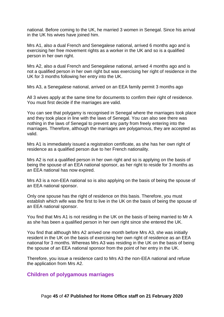national. Before coming to the UK, he married 3 women in Senegal. Since his arrival in the UK his wives have joined him.

Mrs A1, also a dual French and Senegalese national, arrived 6 months ago and is exercising her free movement rights as a worker in the UK and so is a qualified person in her own right.

Mrs A2, also a dual French and Senegalese national, arrived 4 months ago and is not a qualified person in her own right but was exercising her right of residence in the UK for 3 months following her entry into the UK.

Mrs A3, a Senegalese national, arrived on an EEA family permit 3 months ago

All 3 wives apply at the same time for documents to confirm their right of residence. You must first decide if the marriages are valid.

You can see that polygamy is recognised in Senegal where the marriages took place and they took place in line with the laws of Senegal. You can also see there was nothing in the laws of Senegal to prevent any party from freely entering into the marriages. Therefore, although the marriages are polygamous, they are accepted as valid.

Mrs A1 is immediately issued a registration certificate, as she has her own right of residence as a qualified person due to her French nationality.

Mrs A2 is not a qualified person in her own right and so is applying on the basis of being the spouse of an EEA national sponsor, as her right to reside for 3 months as an EEA national has now expired.

Mrs A3 is a non-EEA national so is also applying on the basis of being the spouse of an EEA national sponsor.

Only one spouse has the right of residence on this basis. Therefore, you must establish which wife was the first to live in the UK on the basis of being the spouse of an EEA national sponsor.

You find that Mrs A1 is not residing in the UK on the basis of being married to Mr A as she has been a qualified person in her own right since she entered the UK.

You find that although Mrs A2 arrived one month before Mrs A3, she was initially resident in the UK on the basis of exercising her own right of residence as an EEA national for 3 months. Whereas Mrs A3 was residing in the UK on the basis of being the spouse of an EEA national sponsor from the point of her entry in the UK.

Therefore, you issue a residence card to Mrs A3 the non-EEA national and refuse the application from Mrs A2.

#### <span id="page-44-0"></span>**Children of polygamous marriages**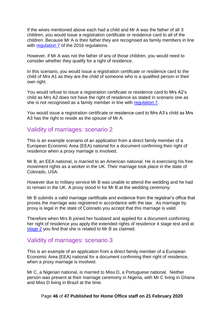If the wives mentioned above each had a child and Mr A was the father of all 3 children, you would issue a registration certificate or residence card to all of the children. Because Mr A is their father they are recognised as family members in line with [regulation 7](http://www.legislation.gov.uk/uksi/2016/1052/regulation/7/made) of the 2016 regulations.

However, if Mr A was not the father of any of those children, you would need to consider whether they qualify for a right of residence.

In this scenario, you would issue a registration certificate or residence card to the child of Mrs A1 as they are the child of someone who is a qualified person in their own right.

You would refuse to issue a registration certificate or residence card to Mrs A2's child as Mrs A2 does not have the right of residence as stated in scenario one as she is not recognised as a family member in line with [regulation 7.](http://www.legislation.gov.uk/uksi/2016/1052/regulation/7/made)

You would issue a registration certificate or residence card to Mrs A3's child as Mrs A3 has the right to reside as the spouse of Mr A.

#### <span id="page-45-0"></span>Validity of marriages: scenario 2

This is an example scenario of an application from a direct family member of a European Economic Area (EEA) national for a document confirming their right of residence when a proxy marriage is involved.

Mr B, an EEA national, is married to an American national. He is exercising his free movement rights as a worker in the UK. Their marriage took place in the state of Colorado, USA.

However due to military service Mr B was unable to attend the wedding and he had to remain in the UK. A proxy stood in for Mr B at the wedding ceremony.

Mr B submits a valid marriage certificate and evidence from the registrar's office that proves the marriage was registered in accordance with the law. As marriage by proxy is legal in the state of Colorado you accept that this marriage is valid.

Therefore when Mrs B joined her husband and applied for a document confirming her right of residence you apply the extended rights of residence 4 stage test and at [stage 2](#page-9-3) you find that she is related to Mr B as claimed.

#### <span id="page-45-1"></span>Validity of marriages: scenario 3

This is an example of an application from a direct family member of a European Economic Area (EEA) national for a document confirming their right of residence, when a proxy marriage is involved.

Mr C, a Nigerian national, is married to Miss D, a Portuguese national. Neither person was present at their marriage ceremony in Nigeria, with Mr C living in Ghana and Miss D living in Brazil at the time.

#### Page **46** of **47 Published for Home Office staff on 21 February 2020**